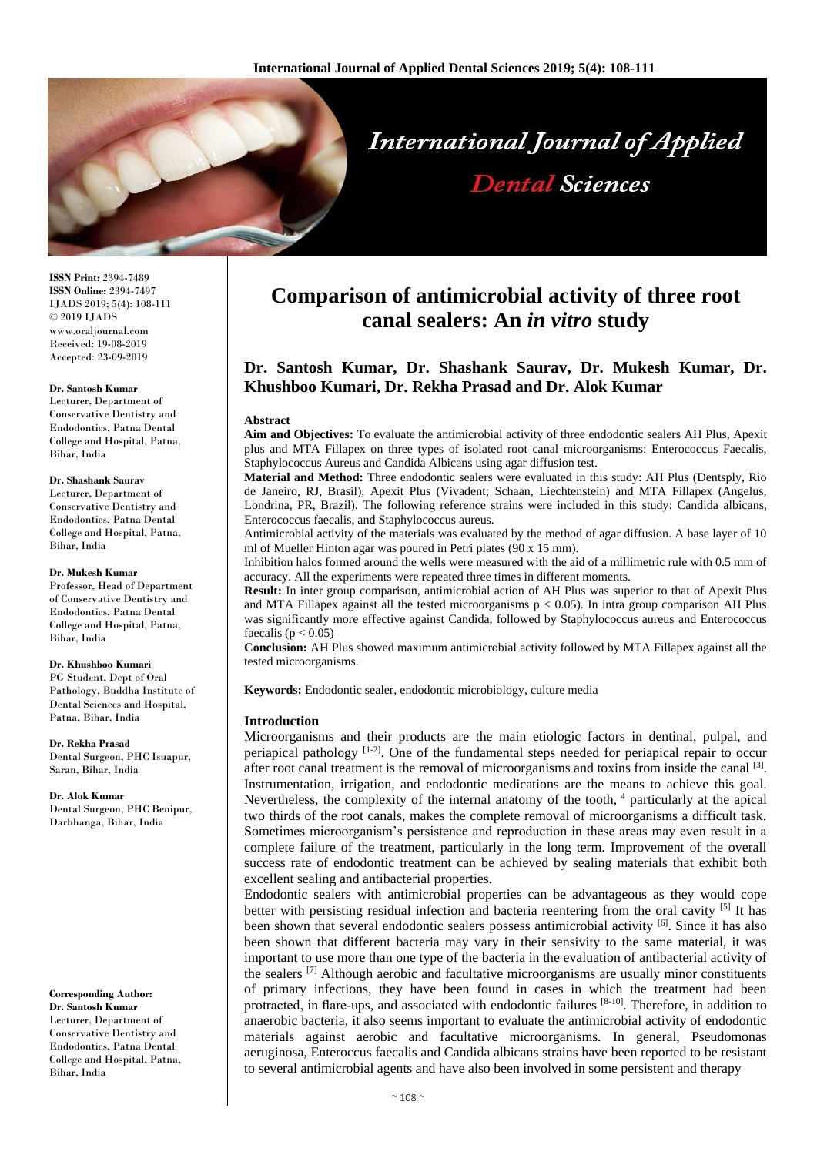

**ISSN Print:** 2394-7489 **ISSN Online:** 2394-7497 IJADS 2019; 5(4): 108-111 © 2019 IJADS www.oraljournal.com Received: 19-08-2019 Accepted: 23-09-2019

#### **Dr. Santosh Kumar**

Lecturer, Department of Conservative Dentistry and Endodontics, Patna Dental College and Hospital, Patna, Bihar, India

#### **Dr. Shashank Saurav**

Lecturer, Department of Conservative Dentistry and Endodontics, Patna Dental College and Hospital, Patna, Bihar, India

#### **Dr. Mukesh Kumar**

Professor, Head of Department of Conservative Dentistry and Endodontics, Patna Dental College and Hospital, Patna, Bihar, India

#### **Dr. Khushboo Kumari**

PG Student, Dept of Oral Pathology, Buddha Institute of Dental Sciences and Hospital, Patna, Bihar, India

**Dr. Rekha Prasad** Dental Surgeon, PHC Isuapur, Saran, Bihar, India

**Dr. Alok Kumar** Dental Surgeon, PHC Benipur, Darbhanga, Bihar, India

#### **Corresponding Author: Dr. Santosh Kumar** Lecturer, Department of Conservative Dentistry and Endodontics, Patna Dental College and Hospital, Patna, Bihar, India

# **Comparison of antimicrobial activity of three root canal sealers: An** *in vitro* **study**

# **Dr. Santosh Kumar, Dr. Shashank Saurav, Dr. Mukesh Kumar, Dr. Khushboo Kumari, Dr. Rekha Prasad and Dr. Alok Kumar**

#### **Abstract**

**Aim and Objectives:** To evaluate the antimicrobial activity of three endodontic sealers AH Plus, Apexit plus and MTA Fillapex on three types of isolated root canal microorganisms: Enterococcus Faecalis, Staphylococcus Aureus and Candida Albicans using agar diffusion test.

**Material and Method:** Three endodontic sealers were evaluated in this study: AH Plus (Dentsply, Rio de Janeiro, RJ, Brasil), Apexit Plus (Vivadent; Schaan, Liechtenstein) and MTA Fillapex (Angelus, Londrina, PR, Brazil). The following reference strains were included in this study: Candida albicans, Enterococcus faecalis, and Staphylococcus aureus.

Antimicrobial activity of the materials was evaluated by the method of agar diffusion. A base layer of 10 ml of Mueller Hinton agar was poured in Petri plates (90 x 15 mm).

Inhibition halos formed around the wells were measured with the aid of a millimetric rule with 0.5 mm of accuracy. All the experiments were repeated three times in different moments.

**Result:** In inter group comparison, antimicrobial action of AH Plus was superior to that of Apexit Plus and MTA Fillapex against all the tested microorganisms  $p < 0.05$ ). In intra group comparison AH Plus was significantly more effective against Candida, followed by Staphylococcus aureus and Enterococcus faecalis ( $p < 0.05$ )

**Conclusion:** AH Plus showed maximum antimicrobial activity followed by MTA Fillapex against all the tested microorganisms.

**Keywords:** Endodontic sealer, endodontic microbiology, culture media

#### **Introduction**

Microorganisms and their products are the main etiologic factors in dentinal, pulpal, and periapical pathology  $[1-2]$ . One of the fundamental steps needed for periapical repair to occur after root canal treatment is the removal of microorganisms and toxins from inside the canal [3]. Instrumentation, irrigation, and endodontic medications are the means to achieve this goal. Nevertheless, the complexity of the internal anatomy of the tooth, <sup>4</sup> particularly at the apical two thirds of the root canals, makes the complete removal of microorganisms a difficult task. Sometimes microorganism's persistence and reproduction in these areas may even result in a complete failure of the treatment, particularly in the long term. Improvement of the overall success rate of endodontic treatment can be achieved by sealing materials that exhibit both excellent sealing and antibacterial properties.

Endodontic sealers with antimicrobial properties can be advantageous as they would cope better with persisting residual infection and bacteria reentering from the oral cavity <sup>[5]</sup> It has been shown that several endodontic sealers possess antimicrobial activity <sup>[6]</sup>. Since it has also been shown that different bacteria may vary in their sensivity to the same material, it was important to use more than one type of the bacteria in the evaluation of antibacterial activity of the sealers  $^{[7]}$  Although aerobic and facultative microorganisms are usually minor constituents of primary infections, they have been found in cases in which the treatment had been protracted, in flare-ups, and associated with endodontic failures [8-10]. Therefore, in addition to anaerobic bacteria, it also seems important to evaluate the antimicrobial activity of endodontic materials against aerobic and facultative microorganisms. In general, Pseudomonas aeruginosa, Enteroccus faecalis and Candida albicans strains have been reported to be resistant to several antimicrobial agents and have also been involved in some persistent and therapy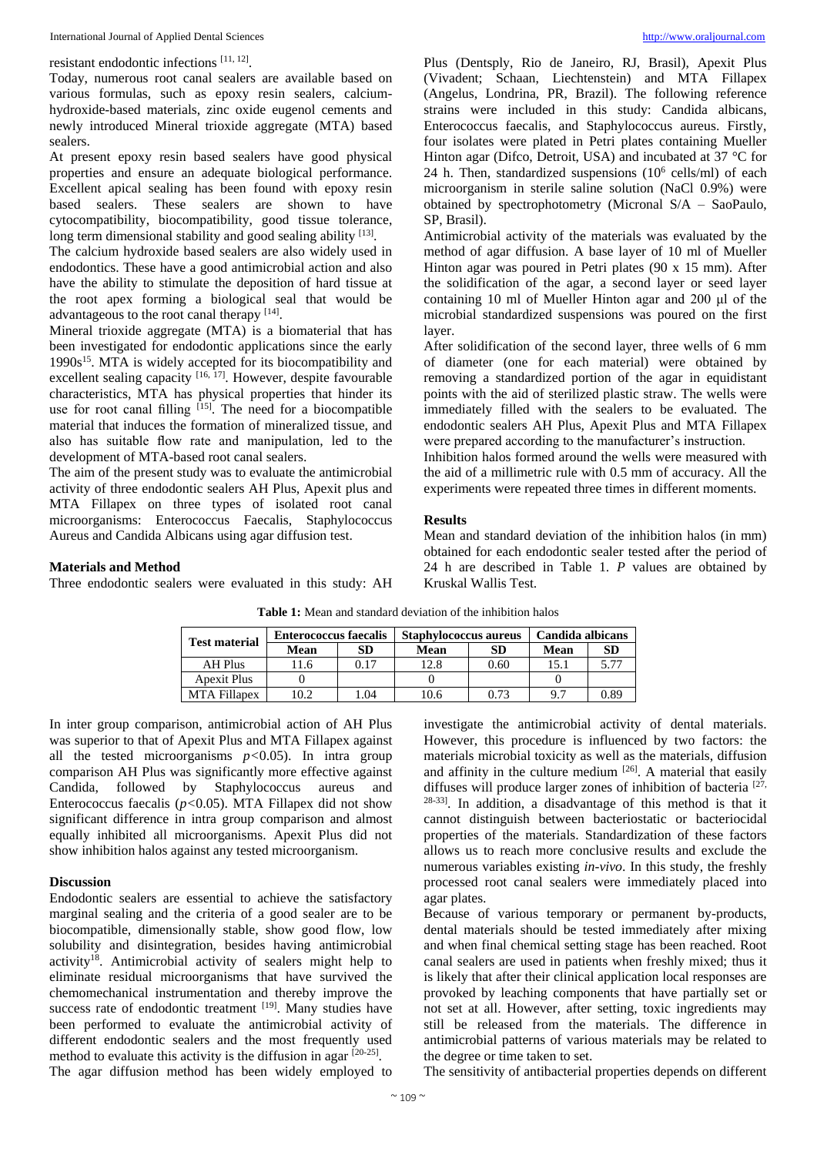# resistant endodontic infections [11, 12] .

Today, numerous root canal sealers are available based on various formulas, such as epoxy resin sealers, calciumhydroxide-based materials, zinc oxide eugenol cements and newly introduced Mineral trioxide aggregate (MTA) based sealers.

At present epoxy resin based sealers have good physical properties and ensure an adequate biological performance. Excellent apical sealing has been found with epoxy resin based sealers. These sealers are shown to have cytocompatibility, biocompatibility, good tissue tolerance, long term dimensional stability and good sealing ability [13].

The calcium hydroxide based sealers are also widely used in endodontics. These have a good antimicrobial action and also have the ability to stimulate the deposition of hard tissue at the root apex forming a biological seal that would be advantageous to the root canal therapy [14].

Mineral trioxide aggregate (MTA) is a biomaterial that has been investigated for endodontic applications since the early 1990s<sup>15</sup>. MTA is widely accepted for its biocompatibility and excellent sealing capacity <sup>[16, 17]</sup>. However, despite favourable characteristics, MTA has physical properties that hinder its use for root canal filling  $[15]$ . The need for a biocompatible material that induces the formation of mineralized tissue, and also has suitable flow rate and manipulation, led to the development of MTA-based root canal sealers.

The aim of the present study was to evaluate the antimicrobial activity of three endodontic sealers AH Plus, Apexit plus and MTA Fillapex on three types of isolated root canal microorganisms: Enterococcus Faecalis, Staphylococcus Aureus and Candida Albicans using agar diffusion test.

Plus (Dentsply, Rio de Janeiro, RJ, Brasil), Apexit Plus (Vivadent; Schaan, Liechtenstein) and MTA Fillapex (Angelus, Londrina, PR, Brazil). The following reference strains were included in this study: Candida albicans, Enterococcus faecalis, and Staphylococcus aureus. Firstly, four isolates were plated in Petri plates containing Mueller Hinton agar (Difco, Detroit, USA) and incubated at 37 °C for 24 h. Then, standardized suspensions  $(10^6 \text{ cells/ml})$  of each microorganism in sterile saline solution (NaCl 0.9%) were obtained by spectrophotometry (Micronal S/A – SaoPaulo, SP, Brasil).

Antimicrobial activity of the materials was evaluated by the method of agar diffusion. A base layer of 10 ml of Mueller Hinton agar was poured in Petri plates (90 x 15 mm). After the solidification of the agar, a second layer or seed layer containing 10 ml of Mueller Hinton agar and 200 μl of the microbial standardized suspensions was poured on the first layer.

After solidification of the second layer, three wells of 6 mm of diameter (one for each material) were obtained by removing a standardized portion of the agar in equidistant points with the aid of sterilized plastic straw. The wells were immediately filled with the sealers to be evaluated. The endodontic sealers AH Plus, Apexit Plus and MTA Fillapex were prepared according to the manufacturer's instruction.

Inhibition halos formed around the wells were measured with the aid of a millimetric rule with 0.5 mm of accuracy. All the experiments were repeated three times in different moments.

#### **Results**

# **Materials and Method**

Three endodontic sealers were evaluated in this study: AH

Mean and standard deviation of the inhibition halos (in mm) obtained for each endodontic sealer tested after the period of 24 h are described in Table 1. *P* values are obtained by Kruskal Wallis Test.

| <b>Test material</b> | <b>Enterococcus faecalis</b> |      | <b>Staphylococcus aureus</b> |      | Candida albicans |      |
|----------------------|------------------------------|------|------------------------------|------|------------------|------|
|                      | Mean                         | SD   | Mean                         | SD   | Mean             | SD   |
| AH Plus              | 1.6                          | 0.17 | 12.8                         | 0.60 | 15.1             | 5.77 |
| <b>Apexit Plus</b>   |                              |      |                              |      |                  |      |
| MTA Fillanex         | 0.2                          | .04  | 10.6                         | 0.73 | 97               | 0.89 |

**Table 1:** Mean and standard deviation of the inhibition halos

In inter group comparison, antimicrobial action of AH Plus was superior to that of Apexit Plus and MTA Fillapex against all the tested microorganisms *p<*0.05). In intra group comparison AH Plus was significantly more effective against Candida, followed by Staphylococcus aureus and Enterococcus faecalis (*p<*0.05). MTA Fillapex did not show significant difference in intra group comparison and almost equally inhibited all microorganisms. Apexit Plus did not show inhibition halos against any tested microorganism.

# **Discussion**

Endodontic sealers are essential to achieve the satisfactory marginal sealing and the criteria of a good sealer are to be biocompatible, dimensionally stable, show good flow, low solubility and disintegration, besides having antimicrobial activity<sup>18</sup>. Antimicrobial activity of sealers might help to eliminate residual microorganisms that have survived the chemomechanical instrumentation and thereby improve the success rate of endodontic treatment [19]. Many studies have been performed to evaluate the antimicrobial activity of different endodontic sealers and the most frequently used method to evaluate this activity is the diffusion in agar [20-25]. The agar diffusion method has been widely employed to

investigate the antimicrobial activity of dental materials. However, this procedure is influenced by two factors: the materials microbial toxicity as well as the materials, diffusion and affinity in the culture medium  $[26]$ . A material that easily diffuses will produce larger zones of inhibition of bacteria  $[27, 12]$ 28-33] . In addition, a disadvantage of this method is that it cannot distinguish between bacteriostatic or bacteriocidal properties of the materials. Standardization of these factors allows us to reach more conclusive results and exclude the numerous variables existing *in-vivo*. In this study, the freshly processed root canal sealers were immediately placed into agar plates.

Because of various temporary or permanent by-products, dental materials should be tested immediately after mixing and when final chemical setting stage has been reached. Root canal sealers are used in patients when freshly mixed; thus it is likely that after their clinical application local responses are provoked by leaching components that have partially set or not set at all. However, after setting, toxic ingredients may still be released from the materials. The difference in antimicrobial patterns of various materials may be related to the degree or time taken to set.

The sensitivity of antibacterial properties depends on different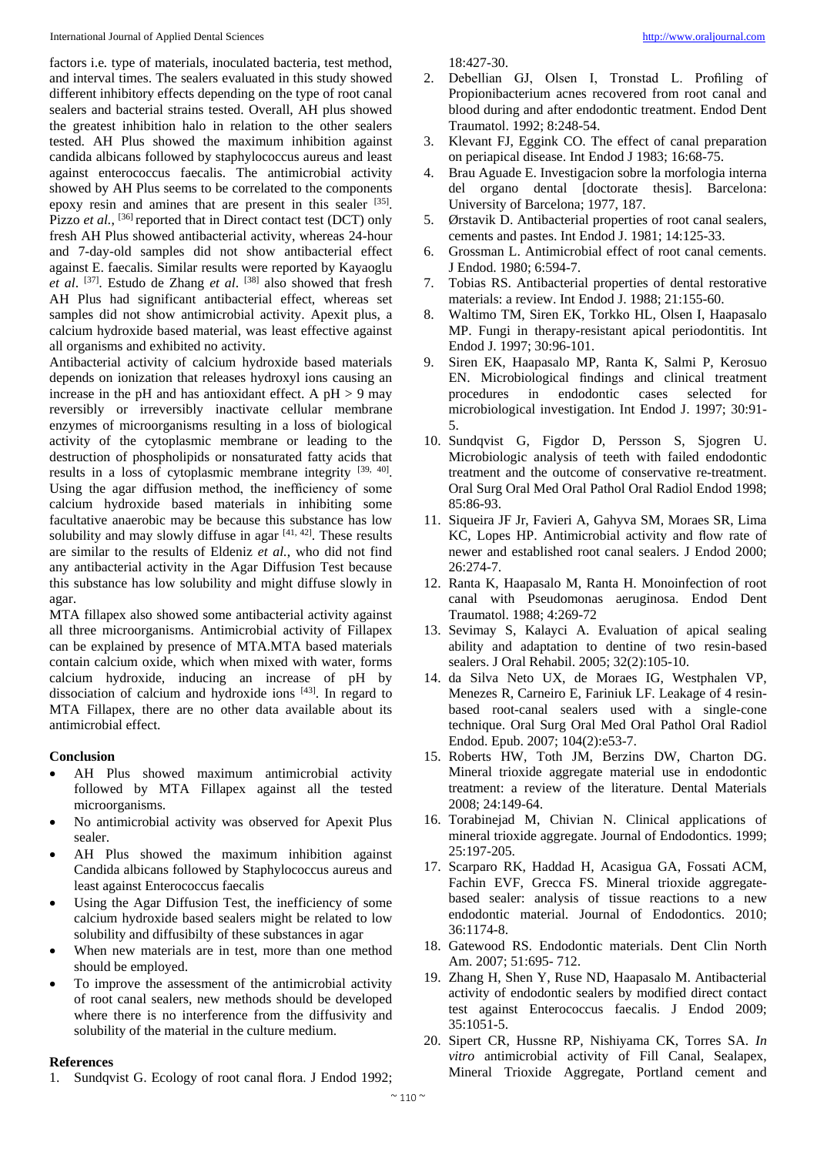International Journal of Applied Dental Sciences [http://www.oraljournal.com](http://www.oraljournal.com/)

factors i.e*.* type of materials, inoculated bacteria, test method, and interval times. The sealers evaluated in this study showed different inhibitory effects depending on the type of root canal sealers and bacterial strains tested. Overall, AH plus showed the greatest inhibition halo in relation to the other sealers tested. AH Plus showed the maximum inhibition against candida albicans followed by staphylococcus aureus and least against enterococcus faecalis. The antimicrobial activity showed by AH Plus seems to be correlated to the components epoxy resin and amines that are present in this sealer [35]. Pizzo *et al.*, <sup>[36]</sup> reported that in Direct contact test (DCT) only fresh AH Plus showed antibacterial activity, whereas 24-hour and 7-day-old samples did not show antibacterial effect against E. faecalis. Similar results were reported by Kayaoglu *et al*. [37] . Estudo de Zhang *et al*. [38] also showed that fresh AH Plus had significant antibacterial effect, whereas set samples did not show antimicrobial activity. Apexit plus, a calcium hydroxide based material, was least effective against all organisms and exhibited no activity.

Antibacterial activity of calcium hydroxide based materials depends on ionization that releases hydroxyl ions causing an increase in the pH and has antioxidant effect. A  $pH > 9$  may reversibly or irreversibly inactivate cellular membrane enzymes of microorganisms resulting in a loss of biological activity of the cytoplasmic membrane or leading to the destruction of phospholipids or nonsaturated fatty acids that results in a loss of cytoplasmic membrane integrity [39, 40]. Using the agar diffusion method, the inefficiency of some calcium hydroxide based materials in inhibiting some facultative anaerobic may be because this substance has low solubility and may slowly diffuse in agar  $[41, 42]$ . These results are similar to the results of Eldeniz *et al.*, who did not find any antibacterial activity in the Agar Diffusion Test because this substance has low solubility and might diffuse slowly in agar.

MTA fillapex also showed some antibacterial activity against all three microorganisms. Antimicrobial activity of Fillapex can be explained by presence of MTA.MTA based materials contain calcium oxide, which when mixed with water, forms calcium hydroxide, inducing an increase of pH by dissociation of calcium and hydroxide ions [43]. In regard to MTA Fillapex, there are no other data available about its antimicrobial effect.

# **Conclusion**

- AH Plus showed maximum antimicrobial activity followed by MTA Fillapex against all the tested microorganisms.
- No antimicrobial activity was observed for Apexit Plus sealer.
- AH Plus showed the maximum inhibition against Candida albicans followed by Staphylococcus aureus and least against Enterococcus faecalis
- Using the Agar Diffusion Test, the inefficiency of some calcium hydroxide based sealers might be related to low solubility and diffusibilty of these substances in agar
- When new materials are in test, more than one method should be employed.
- To improve the assessment of the antimicrobial activity of root canal sealers, new methods should be developed where there is no interference from the diffusivity and solubility of the material in the culture medium.

# **References**

1. Sundqvist G. Ecology of root canal flora. J Endod 1992;

18:427-30.

- 2. Debellian GJ, Olsen I, Tronstad L. Profiling of Propionibacterium acnes recovered from root canal and blood during and after endodontic treatment. Endod Dent Traumatol. 1992; 8:248-54.
- 3. Klevant FJ, Eggink CO. The effect of canal preparation on periapical disease. Int Endod J 1983; 16:68-75.
- 4. Brau Aguade E. Investigacion sobre la morfologia interna del organo dental [doctorate thesis]. Barcelona: University of Barcelona; 1977, 187.
- 5. Ørstavik D. Antibacterial properties of root canal sealers, cements and pastes. Int Endod J. 1981; 14:125-33.
- 6. Grossman L. Antimicrobial effect of root canal cements. J Endod. 1980; 6:594-7.
- 7. Tobias RS. Antibacterial properties of dental restorative materials: a review. Int Endod J. 1988; 21:155-60.
- 8. Waltimo TM, Siren EK, Torkko HL, Olsen I, Haapasalo MP. Fungi in therapy-resistant apical periodontitis. Int Endod J. 1997; 30:96-101.
- 9. Siren EK, Haapasalo MP, Ranta K, Salmi P, Kerosuo EN. Microbiological findings and clinical treatment procedures in endodontic cases selected for microbiological investigation. Int Endod J. 1997; 30:91- 5.
- 10. Sundqvist G, Figdor D, Persson S, Sjogren U. Microbiologic analysis of teeth with failed endodontic treatment and the outcome of conservative re-treatment. Oral Surg Oral Med Oral Pathol Oral Radiol Endod 1998; 85:86-93.
- 11. Siqueira JF Jr, Favieri A, Gahyva SM, Moraes SR, Lima KC, Lopes HP. Antimicrobial activity and flow rate of newer and established root canal sealers. J Endod 2000; 26:274-7.
- 12. Ranta K, Haapasalo M, Ranta H. Monoinfection of root canal with Pseudomonas aeruginosa. Endod Dent Traumatol. 1988; 4:269-72
- 13. Sevimay S, Kalayci A. Evaluation of apical sealing ability and adaptation to dentine of two resin-based sealers. J Oral Rehabil. 2005; 32(2):105-10.
- 14. da Silva Neto UX, de Moraes IG, Westphalen VP, Menezes R, Carneiro E, Fariniuk LF. Leakage of 4 resinbased root-canal sealers used with a single-cone technique. Oral Surg Oral Med Oral Pathol Oral Radiol Endod. Epub. 2007; 104(2):e53-7.
- 15. Roberts HW, Toth JM, Berzins DW, Charton DG. Mineral trioxide aggregate material use in endodontic treatment: a review of the literature. Dental Materials 2008; 24:149-64.
- 16. Torabinejad M, Chivian N. Clinical applications of mineral trioxide aggregate. Journal of Endodontics. 1999; 25:197-205.
- 17. Scarparo RK, Haddad H, Acasigua GA, Fossati ACM, Fachin EVF, Grecca FS. Mineral trioxide aggregatebased sealer: analysis of tissue reactions to a new endodontic material. Journal of Endodontics. 2010; 36:1174-8.
- 18. Gatewood RS. Endodontic materials. Dent Clin North Am. 2007; 51:695- 712.
- 19. Zhang H, Shen Y, Ruse ND, Haapasalo M. Antibacterial activity of endodontic sealers by modified direct contact test against Enterococcus faecalis. J Endod 2009; 35:1051-5.
- 20. Sipert CR, Hussne RP, Nishiyama CK, Torres SA. *In vitro* antimicrobial activity of Fill Canal, Sealapex, Mineral Trioxide Aggregate, Portland cement and